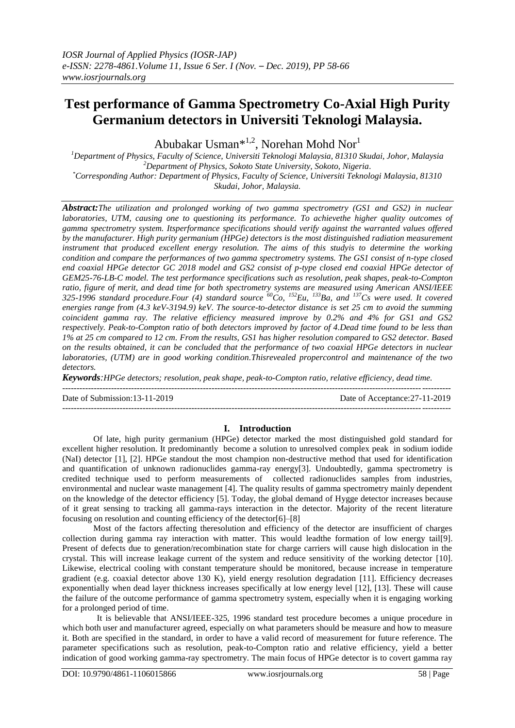# **Test performance of Gamma Spectrometry Co-Axial High Purity Germanium detectors in Universiti Teknologi Malaysia.**

Abubakar Usman<sup>\*1,2</sup>, Norehan Mohd Nor<sup>1</sup>

*<sup>1</sup>Department of Physics, Faculty of Science, Universiti Teknologi Malaysia, 81310 Skudai, Johor, Malaysia <sup>2</sup>Department of Physics, Sokoto State University, Sokoto, Nigeria. \*Corresponding Author: Department of Physics, Faculty of Science, Universiti Teknologi Malaysia, 81310 Skudai, Johor, Malaysia.*

*Abstract:The utilization and prolonged working of two gamma spectrometry (GS1 and GS2) in nuclear laboratories, UTM, causing one to questioning its performance. To achievethe higher quality outcomes of gamma spectrometry system. Itsperformance specifications should verify against the warranted values offered by the manufacturer. High purity germanium (HPGe) detectors is the most distinguished radiation measurement instrument that produced excellent energy resolution. The aims of this studyis to determine the working condition and compare the performances of two gamma spectrometry systems. The GS1 consist of n-type closed end coaxial HPGe detector GC 2018 model and GS2 consist of p-type closed end coaxial HPGe detector of GEM25-76-LB-C model. The test performance specifications such as resolution, peak shapes, peak-to-Compton ratio, figure of merit, and dead time for both spectrometry systems are measured using American ANSI/IEEE 325-1996 standard procedure.Four (4) standard source <sup>60</sup>Co, <sup>152</sup>Eu, <sup>133</sup>Ba, and <sup>137</sup>Cs were used. It covered energies range from (4.3 keV-3194.9) keV. The source-to-detector distance is set 25 cm to avoid the summing coincident gamma ray. The relative efficiency measured improve by 0.2% and 4% for GS1 and GS2 respectively. Peak-to-Compton ratio of both detectors improved by factor of 4.Dead time found to be less than 1% at 25 cm compared to 12 cm. From the results, GS1 has higher resolution compared to GS2 detector. Based on the results obtained, it can be concluded that the performance of two coaxial HPGe detectors in nuclear laboratories, (UTM) are in good working condition.Thisrevealed propercontrol and maintenance of the two detectors.* 

*Keywords:HPGe detectors; resolution, peak shape, peak-to-Compton ratio, relative efficiency, dead time.*

---------------------------------------------------------------------------------------------------------------------------------------

Date of Submission:13-11-2019 Date of Acceptance:27-11-2019

# **I. Introduction**

---------------------------------------------------------------------------------------------------------------------------------------

Of late, high purity germanium (HPGe) detector marked the most distinguished gold standard for excellent higher resolution. It predominantly become a solution to unresolved complex peak in sodium iodide (NaI) detector [1], [2]. HPGe standout the most champion non-destructive method that used for identification and quantification of unknown radionuclides gamma-ray energy[3]. Undoubtedly, gamma spectrometry is credited technique used to perform measurements of collected radionuclides samples from industries, environmental and nuclear waste management [4]. The quality results of gamma spectrometry mainly dependent on the knowledge of the detector efficiency [5]. Today, the global demand of Hygge detector increases because of it great sensing to tracking all gamma-rays interaction in the detector. Majority of the recent literature focusing on resolution and counting efficiency of the detector[6]–[8]

Most of the factors affecting theresolution and efficiency of the detector are insufficient of charges collection during gamma ray interaction with matter. This would leadthe formation of low energy tail[9]. Present of defects due to generation/recombination state for charge carriers will cause high dislocation in the crystal. This will increase leakage current of the system and reduce sensitivity of the working detector [10]. Likewise, electrical cooling with constant temperature should be monitored, because increase in temperature gradient (e.g. coaxial detector above 130 K), yield energy resolution degradation [11]. Efficiency decreases exponentially when dead layer thickness increases specifically at low energy level [12], [13]. These will cause the failure of the outcome performance of gamma spectrometry system, especially when it is engaging working for a prolonged period of time.

 It is believable that ANSI/IEEE-325, 1996 standard test procedure becomes a unique procedure in which both user and manufacturer agreed, especially on what parameters should be measure and how to measure it. Both are specified in the standard, in order to have a valid record of measurement for future reference. The parameter specifications such as resolution, peak-to-Compton ratio and relative efficiency, yield a better indication of good working gamma-ray spectrometry. The main focus of HPGe detector is to covert gamma ray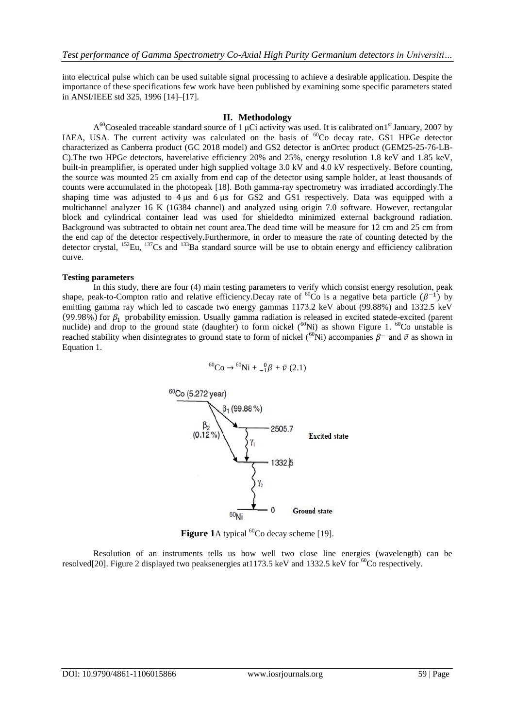into electrical pulse which can be used suitable signal processing to achieve a desirable application. Despite the importance of these specifications few work have been published by examining some specific parameters stated in ANSI/IEEE std 325, 1996 [14]–[17].

## **II. Methodology**

A<sup>60</sup>Cosealed traceable standard source of 1 μCi activity was used. It is calibrated on1<sup>st</sup> January, 2007 by IAEA, USA. The current activity was calculated on the basis of <sup>60</sup>Co decay rate. GS1 HPGe detector characterized as Canberra product (GC 2018 model) and GS2 detector is anOrtec product (GEM25-25-76-LB-C).The two HPGe detectors, haverelative efficiency 20% and 25%, energy resolution 1.8 keV and 1.85 keV, built-in preamplifier, is operated under high supplied voltage 3.0 kV and 4.0 kV respectively. Before counting, the source was mounted 25 cm axially from end cap of the detector using sample holder, at least thousands of counts were accumulated in the photopeak [18]. Both gamma-ray spectrometry was irradiated accordingly.The shaping time was adjusted to 4 μs and 6 μs for GS2 and GS1 respectively. Data was equipped with a multichannel analyzer 16 K (16384 channel) and analyzed using origin 7.0 software. However, rectangular block and cylindrical container lead was used for shieldedto minimized external background radiation. Background was subtracted to obtain net count area.The dead time will be measure for 12 cm and 25 cm from the end cap of the detector respectively.Furthermore, in order to measure the rate of counting detected by the detector crystal, <sup>152</sup>Eu, <sup>137</sup>Cs and <sup>133</sup>Ba standard source will be use to obtain energy and efficiency calibration curve.

#### **Testing parameters**

In this study, there are four (4) main testing parameters to verify which consist energy resolution, peak shape, peak-to-Compton ratio and relative efficiency. Decay rate of <sup>60</sup>Co is a negative beta particle  $(\beta^{-1})$  by emitting gamma ray which led to cascade two energy gammas 1173.2 keV about (99.88%) and 1332.5 keV (99.98%) for  $\beta_1$  probability emission. Usually gamma radiation is released in excited statede-excited (parent nuclide) and drop to the ground state (daughter) to form nickel  $(^{60}\text{Ni})$  as shown Figure 1.  $^{60}\text{Co}$  unstable is reached stability when disintegrates to ground state to form of nickel ( $^{60}$ Ni) accompanies  $\beta^-$  and  $\bar{v}$  as shown in Equation 1.

$$
^{60}\text{Co} \to {}^{60}\text{Ni} + \,_{-1}^{0}\beta + \bar{\nu} \ (2.1)
$$



Figure 1A typical <sup>60</sup>Co decay scheme [19].

Resolution of an instruments tells us how well two close line energies (wavelength) can be resolved[20]. Figure 2 displayed two peaksenergies at 1173.5 keV and 1332.5 keV for  ${}^{60}$ Co respectively.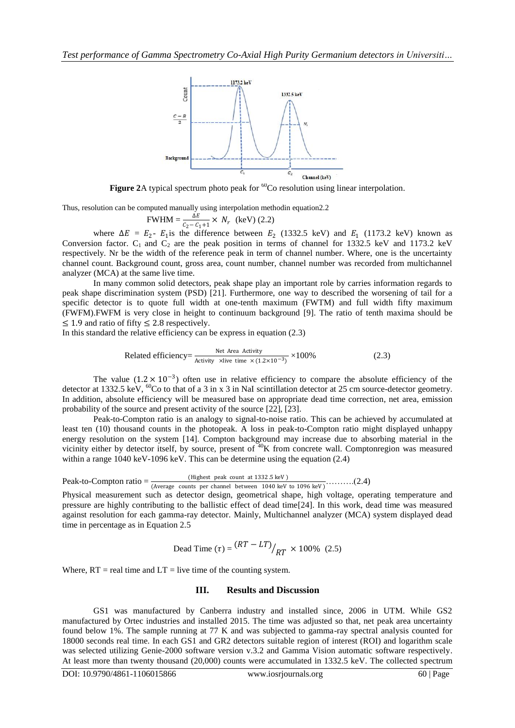

**Figure 2A** typical spectrum photo peak for <sup>60</sup>Co resolution using linear interpolation.

Thus, resolution can be computed manually using interpolation methodin equation2.2

$$
FWHM = \frac{\Delta E}{c_2 - c_1 + 1} \times N_r
$$
 (keV) (2.2)

where  $\Delta E = E_2$ -  $E_1$  is the difference between  $E_2$  (1332.5 keV) and  $E_1$  (1173.2 keV) known as Conversion factor.  $C_1$  and  $C_2$  are the peak position in terms of channel for 1332.5 keV and 1173.2 keV respectively. Nr be the width of the reference peak in term of channel number. Where, one is the uncertainty channel count. Background count, gross area, count number, channel number was recorded from multichannel analyzer (MCA) at the same live time.

In many common solid detectors, peak shape play an important role by carries information regards to peak shape discrimination system (PSD) [21]. Furthermore, one way to described the worsening of tail for a specific detector is to quote full width at one-tenth maximum (FWTM) and full width fifty maximum (FWFM).FWFM is very close in height to continuum background [9]. The ratio of tenth maxima should be  $\leq$  1.9 and ratio of fifty  $\leq$  2.8 respectively.

In this standard the relative efficiency can be express in equation (2.3)

Related efficiency=
$$
\frac{\text{Net Area Activity}}{\text{Activity } \times \text{live time} \times (1.2 \times 10^{-3})} \times 100\%
$$
 (2.3)

The value  $(1.2 \times 10^{-3})$  often use in relative efficiency to compare the absolute efficiency of the detector at 1332.5 keV,  ${}^{60}$ Co to that of a 3 in x 3 in NaI scintillation detector at 25 cm source-detector geometry. In addition, absolute efficiency will be measured base on appropriate dead time correction, net area, emission probability of the source and present activity of the source [22], [23].

Peak-to-Compton ratio is an analogy to signal-to-noise ratio. This can be achieved by accumulated at least ten (10) thousand counts in the photopeak. A loss in peak-to-Compton ratio might displayed unhappy energy resolution on the system [14]. Compton background may increase due to absorbing material in the vicinity either by detector itself, by source, present of  $40K$  from concrete wall. Comptonregion was measured within a range 1040 keV-1096 keV. This can be determine using the equation (2.4)

$$
Peak-to-Compton ratio = \frac{(Higher peak count at 1332.5 keV)}{(Average counts per channel between 1040 keV to 1096 keV)} \dots (2.4)
$$

Physical measurement such as detector design, geometrical shape, high voltage, operating temperature and pressure are highly contributing to the ballistic effect of dead time[24]. In this work, dead time was measured against resolution for each gamma-ray detector. Mainly, Multichannel analyzer (MCA) system displayed dead time in percentage as in Equation 2.5

Dead Time (
$$
\tau
$$
) =  $\frac{(RT - LT)}{RT} \times 100\%$  (2.5)

Where,  $RT =$  real time and  $LT =$  live time of the counting system.

## **III. Results and Discussion**

GS1 was manufactured by Canberra industry and installed since, 2006 in UTM. While GS2 manufactured by Ortec industries and installed 2015. The time was adjusted so that, net peak area uncertainty found below 1%. The sample running at 77 K and was subjected to gamma-ray spectral analysis counted for 18000 seconds real time. In each GS1 and GR2 detectors suitable region of interest (ROI) and logarithm scale was selected utilizing Genie-2000 software version v.3.2 and Gamma Vision automatic software respectively. At least more than twenty thousand (20,000) counts were accumulated in 1332.5 keV. The collected spectrum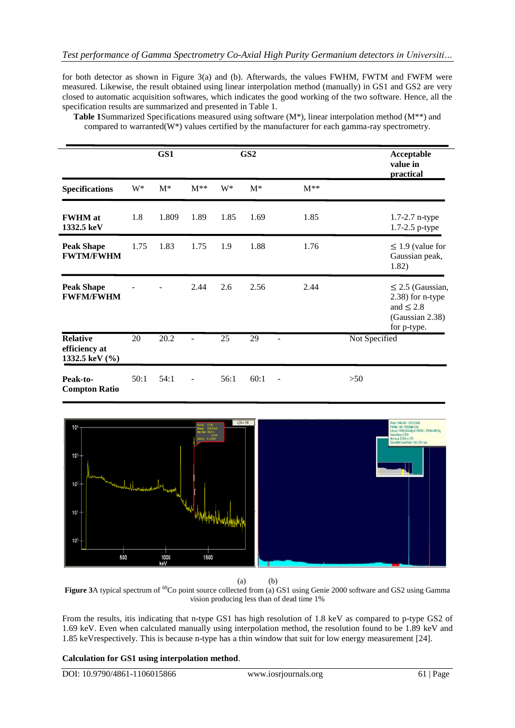for both detector as shown in Figure 3(a) and (b). Afterwards, the values FWHM, FWTM and FWFM were measured. Likewise, the result obtained using linear interpolation method (manually) in GS1 and GS2 are very closed to automatic acquisition softwares, which indicates the good working of the two software. Hence, all the specification results are summarized and presented in Table 1.

|                                                    |       | GS1               |          |                 | GS <sub>2</sub> |                |          |               | Acceptable<br>value in<br>practical                                                              |
|----------------------------------------------------|-------|-------------------|----------|-----------------|-----------------|----------------|----------|---------------|--------------------------------------------------------------------------------------------------|
| <b>Specifications</b>                              | $W^*$ | $M^*$             | $M^{**}$ | W*              | $M^*$           |                | $M^{**}$ |               |                                                                                                  |
| <b>FWHM</b> at<br>1332.5 keV                       | 1.8   | 1.809             | 1.89     | 1.85            | 1.69            |                | 1.85     |               | 1.7-2.7 n-type<br>1.7-2.5 p-type                                                                 |
| <b>Peak Shape</b><br><b>FWTM/FWHM</b>              | 1.75  | 1.83              | 1.75     | 1.9             | 1.88            |                | 1.76     |               | $\leq$ 1.9 (value for<br>Gaussian peak,<br>1.82)                                                 |
| <b>Peak Shape</b><br><b>FWFM/FWHM</b>              |       |                   | 2.44     | 2.6             | 2.56            |                | 2.44     |               | $\leq$ 2.5 (Gaussian,<br>$2.38$ ) for n-type<br>and $\leq 2.8$<br>(Gaussian 2.38)<br>for p-type. |
| <b>Relative</b><br>efficiency at<br>1332.5 keV (%) | 20    | $\overline{20.2}$ |          | $\overline{25}$ | 29              | $\blacksquare$ |          | Not Specified |                                                                                                  |
| Peak-to-<br><b>Compton Ratio</b>                   | 50:1  | 54:1              |          | 56:1            | 60:1            | $\overline{a}$ |          | >50           |                                                                                                  |

**Table 1**Summarized Specifications measured using software (M\*), linear interpolation method (M\*\*) and compared to warranted( $W^*$ ) values certified by the manufacturer for each gamma-ray spectrometry.



(a) (b)

**Figure 3**A typical spectrum of <sup>60</sup>Co point source collected from (a) GS1 using Genie 2000 software and GS2 using Gamma vision producing less than of dead time 1%

From the results, itis indicating that n-type GS1 has high resolution of 1.8 keV as compared to p-type GS2 of 1.69 keV. Even when calculated manually using interpolation method, the resolution found to be 1.89 keV and 1.85 keVrespectively. This is because n-type has a thin window that suit for low energy measurement [24].

# **Calculation for GS1 using interpolation method**.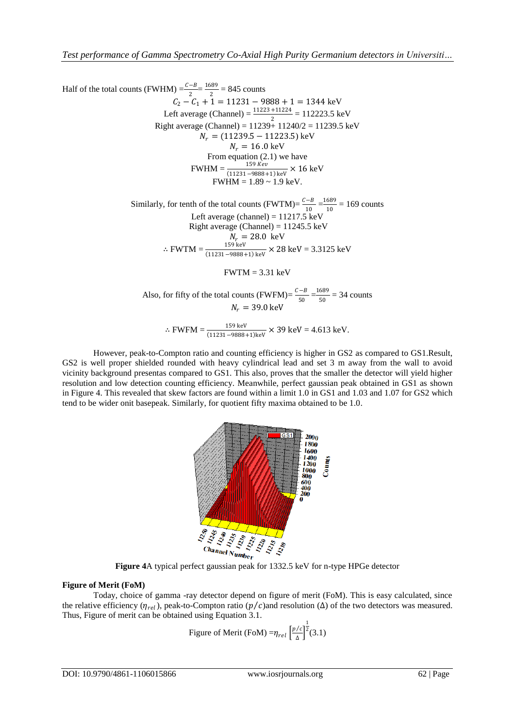Half of the total counts (FWHM)  $=\frac{c-B}{2}$  $\frac{-B}{2} = \frac{1689}{2}$  $\frac{369}{2}$  = 845 counts  $C_2 - C_1 + 1 = 11231 - 9888 + 1 = 1344$  keV Left average (Channel) =  $\frac{11223 + 11224}{2}$  = 112223.5 keV Right average (Channel) =  $11239 + 11240/2 = 11239.5 \text{ keV}$  $N_r = (11239.5 - 11223.5)$  keV  $N_r = 16.0 \text{ keV}$ From equation (2.1) we have  $FWHM = \frac{159 \text{ Kev}}{(11231 - 9888 + 1) \text{ keV}} \times 16 \text{ keV}$  $FWHM = 1.89 \sim 1.9 \text{ keV}.$ Similarly, for tenth of the total counts (FWTM)= $\frac{c-B}{10}$  $\frac{-B}{10} = \frac{1689}{10}$  $\frac{1009}{10}$  = 169 counts Left average (channel) =  $11217.5 \text{ keV}$ Right average (Channel) =  $11245.5 \text{ keV}$  $N_r = 28.0 \text{ keV}$ ∴ FWTM =  $\frac{159 \text{ keV}}{(11231 - 9888 + 1) \text{ keV}}$  × 28 keV = 3.3125 keV  $FWTM = 3.31 \text{ keV}$ Also, for fifty of the total counts (FWFM)= $\frac{c-B}{\epsilon_0}$  $\frac{(-B)}{50} = \frac{1689}{50}$  $\frac{689}{50}$  = 34 counts  $N_r = 39.0 \text{ keV}$ ∴ FWFM =  $\frac{159 \text{ keV}}{(11231 - 9888 + 1)\text{ keV}}$  × 39 keV = 4.613 keV.

However, peak-to-Compton ratio and counting efficiency is higher in GS2 as compared to GS1.Result, GS2 is well proper shielded rounded with heavy cylindrical lead and set 3 m away from the wall to avoid vicinity background presentas compared to GS1. This also, proves that the smaller the detector will yield higher resolution and low detection counting efficiency. Meanwhile, perfect gaussian peak obtained in GS1 as shown in Figure 4. This revealed that skew factors are found within a limit 1.0 in GS1 and 1.03 and 1.07 for GS2 which tend to be wider onit basepeak. Similarly, for quotient fifty maxima obtained to be 1.0.



# **Figure of Merit (FoM)**

Today, choice of gamma -ray detector depend on figure of merit (FoM). This is easy calculated, since the relative efficiency ( $\eta_{rel}$ ), peak-to-Compton ratio ( $p/c$ ) and resolution ( $\Delta$ ) of the two detectors was measured. Thus, Figure of merit can be obtained using Equation 3.1.

Figure of Merit (FoM) =
$$
\eta_{rel} \left[ \frac{p/c}{\Delta} \right]^{\frac{1}{2}} (3.1)
$$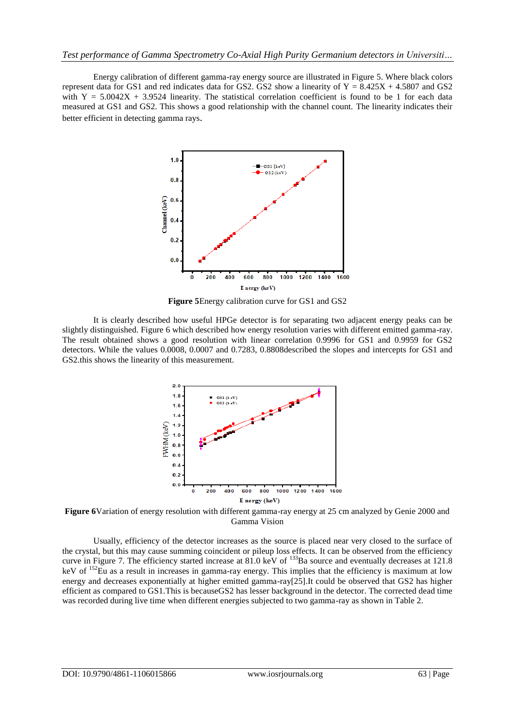Energy calibration of different gamma-ray energy source are illustrated in Figure 5. Where black colors represent data for GS1 and red indicates data for GS2. GS2 show a linearity of  $Y = 8.425X + 4.5807$  and GS2 with  $Y = 5.0042X + 3.9524$  linearity. The statistical correlation coefficient is found to be 1 for each data measured at GS1 and GS2. This shows a good relationship with the channel count. The linearity indicates their better efficient in detecting gamma rays.



**Figure 5**Energy calibration curve for GS1 and GS2

It is clearly described how useful HPGe detector is for separating two adjacent energy peaks can be slightly distinguished. Figure 6 which described how energy resolution varies with different emitted gamma-ray. The result obtained shows a good resolution with linear correlation 0.9996 for GS1 and 0.9959 for GS2 detectors. While the values 0.0008, 0.0007 and 0.7283, 0.8808described the slopes and intercepts for GS1 and GS2.this shows the linearity of this measurement.



**Figure 6**Variation of energy resolution with different gamma-ray energy at 25 cm analyzed by Genie 2000 and Gamma Vision

Usually, efficiency of the detector increases as the source is placed near very closed to the surface of the crystal, but this may cause summing coincident or pileup loss effects. It can be observed from the efficiency curve in Figure 7. The efficiency started increase at 81.0 keV of <sup>133</sup>Ba source and eventually decreases at 121.8 keV of <sup>152</sup>Eu as a result in increases in gamma-ray energy. This implies that the efficiency is maximum at low energy and decreases exponentially at higher emitted gamma-ray[25].It could be observed that GS2 has higher efficient as compared to GS1.This is becauseGS2 has lesser background in the detector. The corrected dead time was recorded during live time when different energies subjected to two gamma-ray as shown in Table 2.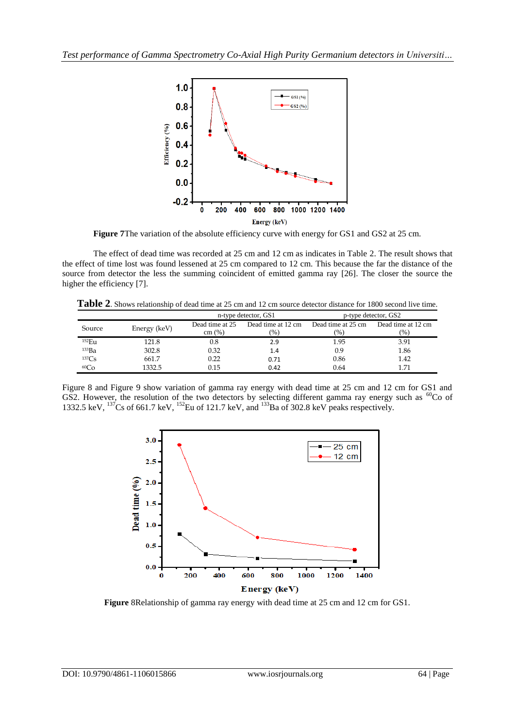

Figure 7The variation of the absolute efficiency curve with energy for GS1 and GS2 at 25 cm.

The effect of dead time was recorded at 25 cm and 12 cm as indicates in Table 2. The result shows that the effect of time lost was found lessened at 25 cm compared to 12 cm. This because the far the distance of the source from detector the less the summing coincident of emitted gamma ray [26]. The closer the source the higher the efficiency [7].

**Table 2**. Shows relationship of dead time at 25 cm and 12 cm source detector distance for 1800 second live time.

|              |              |                           | n-type detector, GS1      | p-type detector, GS2                |                           |  |
|--------------|--------------|---------------------------|---------------------------|-------------------------------------|---------------------------|--|
| Source       | Energy (keV) | Dead time at 25<br>cm (%) | Dead time at 12 cm<br>(%) | Dead time at 25 cm<br>$\frac{9}{6}$ | Dead time at 12 cm<br>(%) |  |
| 152Eu        | 121.8        | 0.8                       | 2.9                       | 1.95                                | 3.91                      |  |
| 133Ba        | 302.8        | 0.32                      | 1.4                       | 0.9                                 | 1.86                      |  |
| ${}^{137}Cs$ | 661.7        | 0.22                      | 0.71                      | 0.86                                | 1.42                      |  |
| 60Co         | 1332.5       | 0.15                      | 0.42                      | 0.64                                | 1.71                      |  |

Figure 8 and Figure 9 show variation of gamma ray energy with dead time at 25 cm and 12 cm for GS1 and GS2. However, the resolution of the two detectors by selecting different gamma ray energy such as  ${}^{60}Co$  of 1332.5 keV,  $^{137}$ Cs of 661.7 keV,  $^{152}$ Eu of 121.7 keV, and  $^{133}$ Ba of 302.8 keV peaks respectively.



**Figure** 8Relationship of gamma ray energy with dead time at 25 cm and 12 cm for GS1.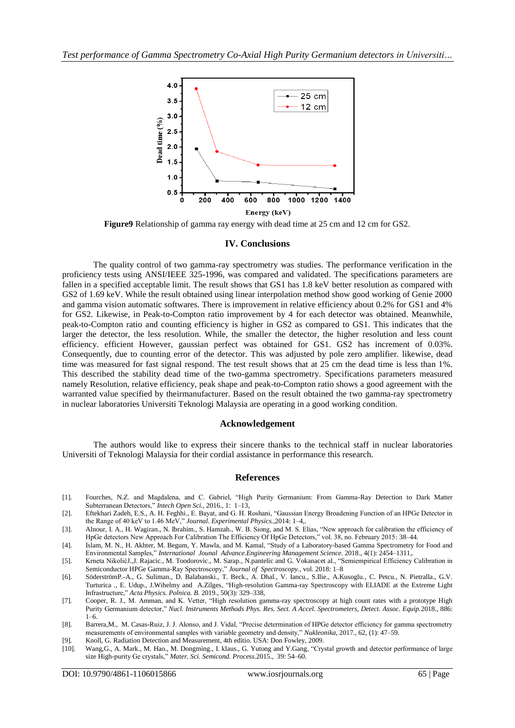

**Figure9** Relationship of gamma ray energy with dead time at 25 cm and 12 cm for GS2.

#### **IV. Conclusions**

The quality control of two gamma-ray spectrometry was studies. The performance verification in the proficiency tests using ANSI/IEEE 325-1996, was compared and validated. The specifications parameters are fallen in a specified acceptable limit. The result shows that GS1 has 1.8 keV better resolution as compared with GS2 of 1.69 keV. While the result obtained using linear interpolation method show good working of Genie 2000 and gamma vision automatic softwares. There is improvement in relative efficiency about 0.2% for GS1 and 4% for GS2. Likewise, in Peak-to-Compton ratio improvement by 4 for each detector was obtained. Meanwhile, peak-to-Compton ratio and counting efficiency is higher in GS2 as compared to GS1. This indicates that the larger the detector, the less resolution. While, the smaller the detector, the higher resolution and less count efficiency. efficient However, gaussian perfect was obtained for GS1. GS2 has increment of 0.03%. Consequently, due to counting error of the detector. This was adjusted by pole zero amplifier. likewise, dead time was measured for fast signal respond. The test result shows that at 25 cm the dead time is less than 1%. This described the stability dead time of the two-gamma spectrometry. Specifications parameters measured namely Resolution, relative efficiency, peak shape and peak-to-Compton ratio shows a good agreement with the warranted value specified by theirmanufacturer. Based on the result obtained the two gamma-ray spectrometry in nuclear laboratories Universiti Teknologi Malaysia are operating in a good working condition.

#### **Acknowledgement**

The authors would like to express their sincere thanks to the technical staff in nuclear laboratories Universiti of Teknologi Malaysia for their cordial assistance in performance this research.

## **References**

- [1]. Fourches, N.Z. and Magdalena, and C. Gabriel, "High Purity Germanium: From Gamma-Ray Detection to Dark Matter Subterranean Detectors," *Intech Open Sci.*, 2016., 1: 1–13,
- [2]. Eftekhari Zadeh, E.S., A. H. Feghhi., E. Bayat, and G. H. Roshani, "Gaussian Energy Broadening Function of an HPGe Detector in the Range of 40 keV to 1.46 MeV," *Journal. Experimental Physics.*,2014: 1–4,.
- [3]. Alnour, I. A., H. Wagiran., N. Ibrahim., S. Hamzah., W. B. Siong, and M. S. Elias, "New approach for calibration the efficiency of HpGe detectors New Approach For Calibration The Efficiency Of HpGe Detectors," vol. 38, no. February 2015: 38–44.
- [4]. Islam, M. N., H. Akhter, M. Begum, Y. Mawla, and M. Kamal, "Study of a Laboratory-based Gamma Spectrometry for Food and Environmental Samples," *International Jounal Advance.Engineering Management Science.* 2018., 4(1): 2454–1311,.
- [5]. Krneta NikolićJ.,J. Rajacic., M. Toodorovic., M. Sarap., N.pantelic and G. Vokanacet al., "Semiempirical Efficiency Calibration in Semiconductor HPGe Gamma-Ray Spectroscopy," *Journal of Spectroscopy.*, vol. 2018: 1–8
- [6]. SöderströmP.-A., G. Suliman., D. Balabanski., T. Beck., A. Dhal., V. Iancu., S.Ilie., A.Kusoglu., C. Petcu., N. Pietralla., G.V. Turturica ., E. Udup., J.Wihelmy and A.Zilges, "High-resolution Gamma-ray Spectroscopy with ELIADE at the Extreme Light Infrastructure," *Acta Physics. Polnica. B.* 2019., 50(3): 329–338,
- [7]. Cooper, R. J., M. Amman, and K. Vetter, "High resolution gamma-ray spectroscopy at high count rates with a prototype High Purity Germanium detector," *Nucl. Instruments Methods Phys. Res. Sect. A Accel. Spectrometers, Detect. Assoc. Equip.*2018., 886:  $1–6$
- [8]. Barrera,M., M. Casas-Ruiz, J. J. Alonso, and J. Vidal, "Precise determination of HPGe detector efficiency for gamma spectrometry measurements of environmental samples with variable geometry and density," *Nukleonika*, 2017., 62, (1): 47–59.
- [9]. Knoll, G. Radiation Detection and Measurement, 4th editio. USA: Don Fowley, 2009.
- Wang,G., A. Mark., M. Hao., M. Dongming., I. klaus., G. Yutong and Y.Gang, "Crystal growth and detector performance of large size High-purity Ge crystals," *Mater. Sci. Semicond. Process.*2015., 39: 54–60.